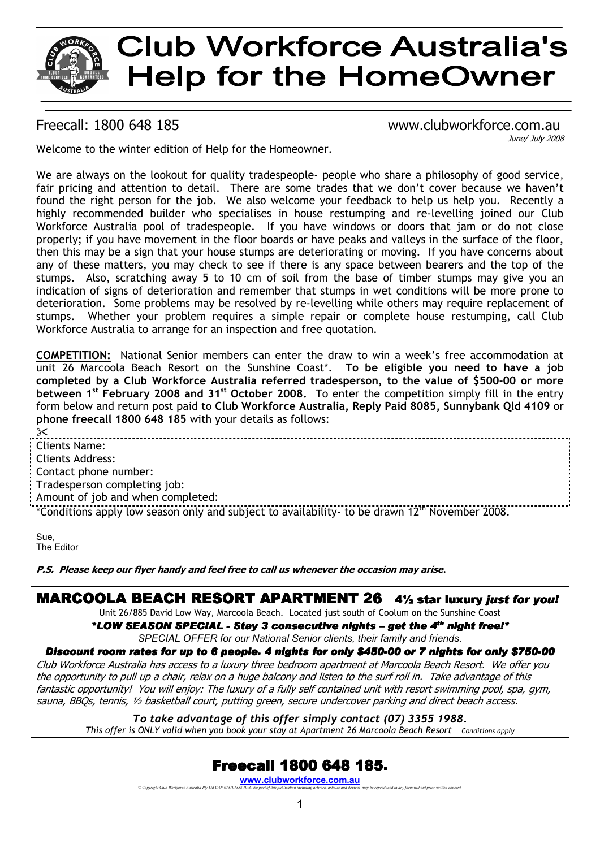# **Club Workforce Australia's Help for the HomeOwner**

#### Freecall: 1800 648 185 www.clubworkforce.com.au June/ July 2008

Welcome to the winter edition of Help for the Homeowner.

We are always on the lookout for quality tradespeople- people who share a philosophy of good service, fair pricing and attention to detail. There are some trades that we don't cover because we haven't found the right person for the job. We also welcome your feedback to help us help you. Recently a highly recommended builder who specialises in house restumping and re-levelling joined our Club Workforce Australia pool of tradespeople. If you have windows or doors that jam or do not close properly; if you have movement in the floor boards or have peaks and valleys in the surface of the floor, then this may be a sign that your house stumps are deteriorating or moving. If you have concerns about any of these matters, you may check to see if there is any space between bearers and the top of the stumps. Also, scratching away 5 to 10 cm of soil from the base of timber stumps may give you an indication of signs of deterioration and remember that stumps in wet conditions will be more prone to deterioration. Some problems may be resolved by re-levelling while others may require replacement of stumps. Whether your problem requires a simple repair or complete house restumping, call Club Workforce Australia to arrange for an inspection and free quotation.

**COMPETITION:** National Senior members can enter the draw to win a week's free accommodation at unit 26 Marcoola Beach Resort on the Sunshine Coast\*. **To be eligible you need to have a job completed by a Club Workforce Australia referred tradesperson, to the value of \$500-00 or more between 1st February 2008 and 31st October 2008.** To enter the competition simply fill in the entry form below and return post paid to **Club Workforce Australia, Reply Paid 8085, Sunnybank Qld 4109** or **phone freecall 1800 648 185** with your details as follows:

#### $\propto$ Clients Name: Clients Address: Contact phone number: Tradesperson completing job: Amount of job and when completed: \*Conditions apply low season only and subject to availability- to be drawn 12th November 2008.

Sue, The Editor

**P.S. Please keep our flyer handy and feel free to call us whenever the occasion may arise***.* 

### MARCOOLA BEACH RESORT APARTMENT 26 4<sup>1/2</sup> star luxury *just for you!*

Unit 26/885 David Low Way, Marcoola Beach. Located just south of Coolum on the Sunshine Coast

*\*LOW SEASON SPECIAL - SEASON SPECIAL - Stay 3 consecutive nights Stay nights – get the 4 4th night free!\** 

*SPECIAL OFFER for our National Senior clients, their family and friends.* 

*Discount room rates for up to 6 people. 4 nights for only \$450-00 or 7 nights for only \$750-00* Club Workforce Australia has access to a luxury three bedroom apartment at Marcoola Beach Resort. We offer you the opportunity to pull up a chair, relax on a huge balcony and listen to the surf roll in. Take advantage of this fantastic opportunity! You will enjoy: The luxury of a fully self contained unit with resort swimming pool, spa, gym, sauna, BBQs, tennis, ½ basketball court, putting green, secure undercover parking and direct beach access.

*To take advantage of this offer simply contact (07) 3355 1988. This offer is ONLY valid when you book your stay at Apartment 26 Marcoola Beach Resort Conditions apply*

# **Freecall 1800 648 185.**

**www.clubworkforce.com.au** *© Copyright Club Workforce Australia Pty Ltd CAN 073191358 1996. No part of this publication including artwork, articles and devices may be reproduced in any form without prior written consent.*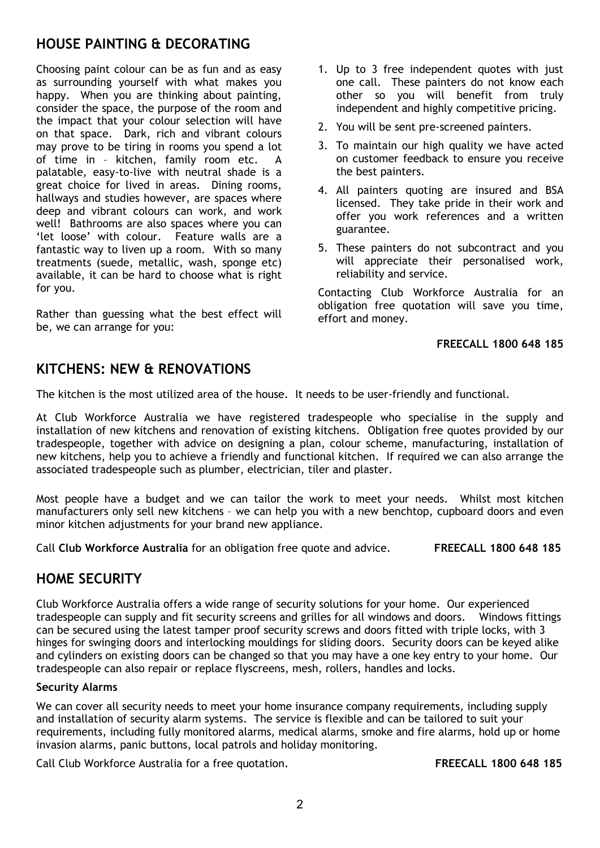# **HOUSE PAINTING & DECORATING**

Choosing paint colour can be as fun and as easy as surrounding yourself with what makes you happy. When you are thinking about painting, consider the space, the purpose of the room and the impact that your colour selection will have on that space. Dark, rich and vibrant colours may prove to be tiring in rooms you spend a lot of time in – kitchen, family room etc. A palatable, easy-to-live with neutral shade is a great choice for lived in areas. Dining rooms, hallways and studies however, are spaces where deep and vibrant colours can work, and work well! Bathrooms are also spaces where you can 'let loose' with colour. Feature walls are a fantastic way to liven up a room. With so many treatments (suede, metallic, wash, sponge etc) available, it can be hard to choose what is right for you.

Rather than guessing what the best effect will be, we can arrange for you:

- 1. Up to 3 free independent quotes with just one call. These painters do not know each other so you will benefit from truly independent and highly competitive pricing.
- 2. You will be sent pre-screened painters.
- 3. To maintain our high quality we have acted on customer feedback to ensure you receive the best painters.
- 4. All painters quoting are insured and BSA licensed. They take pride in their work and offer you work references and a written guarantee.
- 5. These painters do not subcontract and you will appreciate their personalised work, reliability and service.

Contacting Club Workforce Australia for an obligation free quotation will save you time, effort and money.

#### **FREECALL 1800 648 185**

## **KITCHENS: NEW & RENOVATIONS**

The kitchen is the most utilized area of the house. It needs to be user-friendly and functional.

At Club Workforce Australia we have registered tradespeople who specialise in the supply and installation of new kitchens and renovation of existing kitchens. Obligation free quotes provided by our tradespeople, together with advice on designing a plan, colour scheme, manufacturing, installation of new kitchens, help you to achieve a friendly and functional kitchen. If required we can also arrange the associated tradespeople such as plumber, electrician, tiler and plaster.

Most people have a budget and we can tailor the work to meet your needs. Whilst most kitchen manufacturers only sell new kitchens – we can help you with a new benchtop, cupboard doors and even minor kitchen adjustments for your brand new appliance.

Call **Club Workforce Australia** for an obligation free quote and advice. **FREECALL 1800 648 185** 

# **HOME SECURITY**

Club Workforce Australia offers a wide range of security solutions for your home. Our experienced tradespeople can supply and fit security screens and grilles for all windows and doors. Windows fittings can be secured using the latest tamper proof security screws and doors fitted with triple locks, with 3 hinges for swinging doors and interlocking mouldings for sliding doors. Security doors can be keyed alike and cylinders on existing doors can be changed so that you may have a one key entry to your home. Our tradespeople can also repair or replace flyscreens, mesh, rollers, handles and locks*.* 

#### **Security Alarms**

We can cover all security needs to meet your home insurance company requirements, including supply and installation of security alarm systems. The service is flexible and can be tailored to suit your requirements, including fully monitored alarms, medical alarms, smoke and fire alarms, hold up or home invasion alarms, panic buttons, local patrols and holiday monitoring.

Call Club Workforce Australia for a free quotation. **FREECALL 1800 648 185**